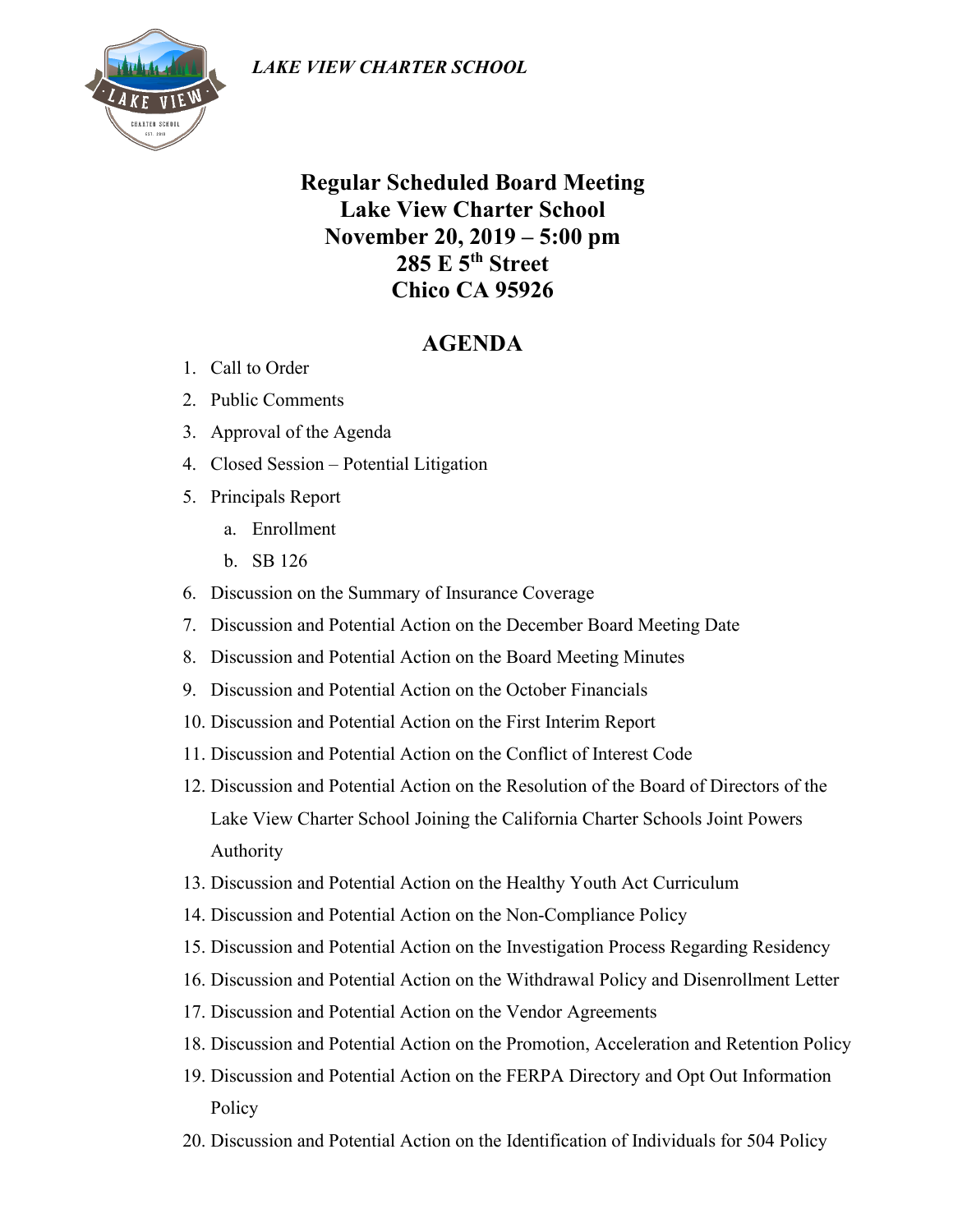

## **Regular Scheduled Board Meeting Lake View Charter School November 20, 2019 – 5:00 pm 285 E 5th Street Chico CA 95926**

## **AGENDA**

- 1. Call to Order
- 2. Public Comments
- 3. Approval of the Agenda
- 4. Closed Session Potential Litigation
- 5. Principals Report
	- a. Enrollment
	- b. SB 126
- 6. Discussion on the Summary of Insurance Coverage
- 7. Discussion and Potential Action on the December Board Meeting Date
- 8. Discussion and Potential Action on the Board Meeting Minutes
- 9. Discussion and Potential Action on the October Financials
- 10. Discussion and Potential Action on the First Interim Report
- 11. Discussion and Potential Action on the Conflict of Interest Code
- 12. Discussion and Potential Action on the Resolution of the Board of Directors of the Lake View Charter School Joining the California Charter Schools Joint Powers Authority
- 13. Discussion and Potential Action on the Healthy Youth Act Curriculum
- 14. Discussion and Potential Action on the Non-Compliance Policy
- 15. Discussion and Potential Action on the Investigation Process Regarding Residency
- 16. Discussion and Potential Action on the Withdrawal Policy and Disenrollment Letter
- 17. Discussion and Potential Action on the Vendor Agreements
- 18. Discussion and Potential Action on the Promotion, Acceleration and Retention Policy
- 19. Discussion and Potential Action on the FERPA Directory and Opt Out Information Policy
- 20. Discussion and Potential Action on the Identification of Individuals for 504 Policy